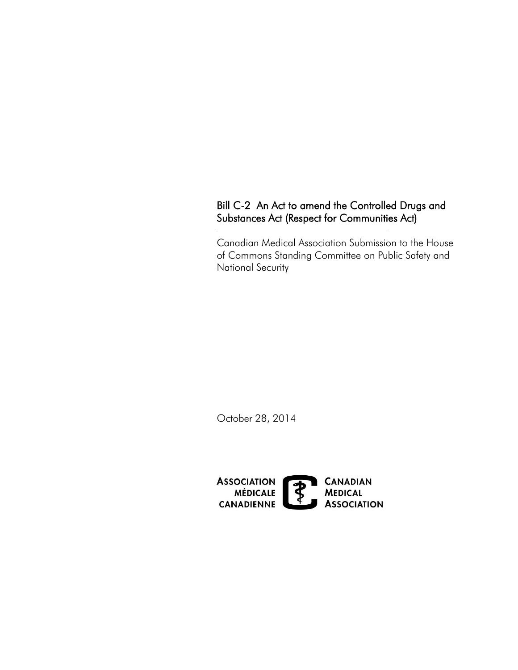# Substances Act (Respect for Communities Act) Bill C-2 An Act to amend the Controlled Drugs and

Canadian Medical Association Submission to the House of Commons Standing Committee on Public Safety and National Security

October 28, 2014

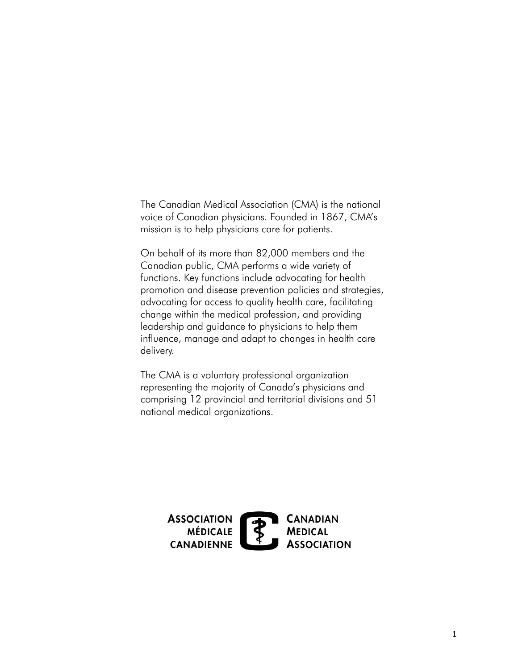The Canadian Medical Association (CMA) is the national voice of Canadian physicians. Founded in 1867, CMA's mission is to help physicians care for patients.

On behalf of its more than 82,000 members and the Canadian public, CMA performs a wide variety of functions. Key functions include advocating for health promotion and disease prevention policies and strategies, advocating for access to quality health care, facilitating change within the medical profession, and providing leadership and guidance to physicians to help them influence, manage and adapt to changes in health care delivery.

The CMA is a voluntary professional organization representing the majority of Canada's physicians and comprising 12 provincial and territorial divisions and 51 national medical organizations.

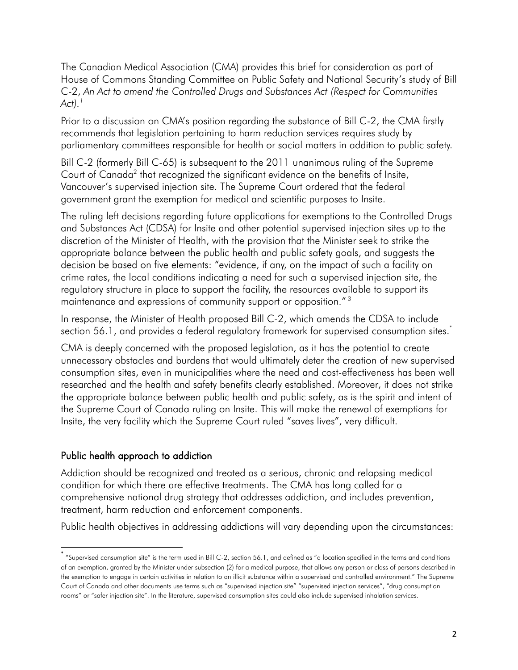The Canadian Medical Association (CMA) provides this brief for consideration as part of  C-2, *An Act to amend the Controlled Drugs and Substances Act (Respect for Communities*  House of Commons Standing Committee on Public Safety and National Security's study of Bill *Act)[.1](#page-7-0)* 

 Prior to a discussion on CMA's position regarding the substance of Bill C-2, the CMA firstly recommends that legislation pertaining to harm reduction services requires study by parliamentary committees responsible for health or social matters in addition to public safety.

 Bill C-2 (formerly Bill C-65) is subsequent to the 2011 unanimous ruling of the Supreme Vancouver's supervised injection site. The Supreme Court ordered that the federal Court of Canada<sup>2</sup> that recognized the significant evidence on the benefits of Insite, government grant the exemption for medical and scientific purposes to Insite.

 discretion of the Minister of Health, with the provision that the Minister seek to strike the appropriate balance between the public health and public safety goals, and suggests the The ruling left decisions regarding future applications for exemptions to the Controlled Drugs and Substances Act (CDSA) for Insite and other potential supervised injection sites up to the decision be based on five elements: "evidence, if any, on the impact of such a facility on crime rates, the local conditions indicating a need for such a supervised injection site, the regulatory structure in place to support the facility, the resources av[aila](#page-7-2)ble to support its maintenance and expressions of community support or opposition." <sup>3</sup>

In response, the Minister of Health proposed Bill C-2, which amends the CDSA to include section 56.1, and provides a federal regulatory framework for supervised consumption sites.<sup>\*</sup>

 CMA is deeply concerned with the proposed legislation, as it has the potential to create unnecessary obstacles and burdens that would ultimately deter the creation of new supervised consumption sites, even in municipalities where the need and cost-effectiveness has been well researched and the health and safety benefits clearly established. Moreover, it does not strike the appropriate balance between public health and public safety, as is the spirit and intent of the Supreme Court of Canada ruling on Insite. This will make the renewal of exemptions for Insite, the very facility which the Supreme Court ruled "saves lives", very difficult.

### Public health approach to addiction

 $\overline{\phantom{a}}$ 

Addiction should be recognized and treated as a serious, chronic and relapsing medical condition for which there are effective treatments. The CMA has long called for a comprehensive national drug strategy that addresses addiction, and includes prevention, treatment, harm reduction and enforcement components.

Public health objectives in addressing addictions will vary depending upon the circumstances:

 \* "Supervised consumption site" is the term used in Bill <sup>C</sup>-2, section 56.1, and defined as "a location specified in the terms and conditions of an exemption, granted by the Minister under subsection (2) for a medical purpose, that allows any person or class of persons described in the exemption to engage in certain activities in relation to an illicit substance within a supervised and controlled environment." The Supreme Court of Canada and other documents use terms such as "supervised injection site" "supervised injection services", "drug consumption rooms" or "safer injection site". In the literature, supervised consumption sites could also include supervised inhalation services.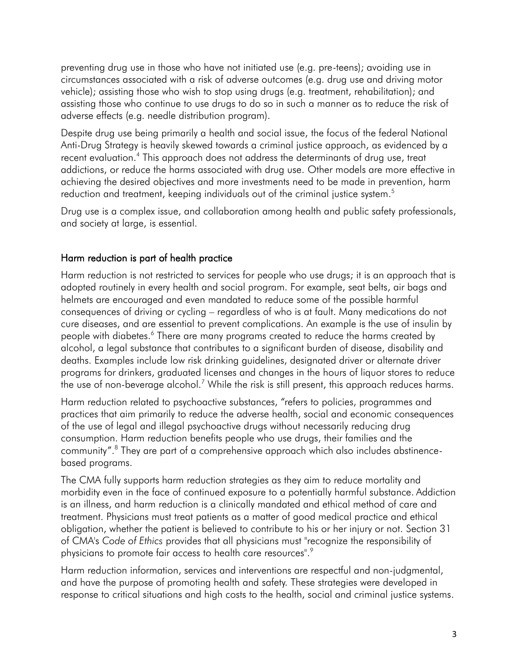assisting those who continue to use drugs to do so in such a manner as to reduce the risk of adverse effects (e.g. needle distribution program). preventing drug use in those who have not initiated use (e.g. pre-teens); avoiding use in circumstances associated with a risk of adverse outcomes (e.g. drug use and driving motor vehicle); assisting those who wish to stop using drugs (e.g. treatment, rehabilitation); and

reduction and treatment, keeping individuals out of the criminal justice system.<sup>5</sup> Despite drug use being primarily a health and social issue, the focus of the federal National Anti-Drug Strategy is heavily skewed towards a criminal justice approach, as evidenced by a recent evaluation.<sup>4</sup> This approach does not address the determinants of drug use, treat addictions, or reduce the harms associated with drug use. Other models are more effective in achieving the desired objectives and more investments need to be made in prevention, harm

 and society at large, is essential. Drug use is a complex issue, and collaboration among health and public safety professionals,

## Harm reduction is part of health practice

 Harm reduction is not restricted to services for people who use drugs; it is an approach that is consequences of driving or cycling – regardless of who is at fault. Many medications do not adopted routinely in every health and social program. For example, seat belts, air bags and helmets are encouraged and even mandated to reduce some of the possible harmful cure diseases, and are essential to prevent complications. An example is the use of insulin by people with diabetes.<sup>6</sup> There are many programs created to reduce the harms created by alcohol, a legal substance that contributes to a significant burden of disease, disability and deaths. Examples include low risk drinking guidelines, designated driver or alternate driver programs for drinkers, graduated licenses and changes in the hours of liquor stores to reduce the use of non-beverage alcohol.<sup>7</sup> While the risk is still present, this approach reduces harms.

Harm reduction related to psychoactive substances, "refers to policies, programmes and practices that aim primarily to reduce the adverse health, social and economic consequences of the use of legal and illegal psychoactive drugs without necessarily reducing drug consumption. Harm reduction benefits people who use drugs, their families and the community".[8](#page-7-7) They are part of a comprehensive approach which also includes abstinencebased programs.

physicians to promote fair access to health care resources". $^\circ$ The CMA fully supports harm reduction strategies as they aim to reduce mortality and morbidity even in the face of continued exposure to a potentially harmful substance. Addiction is an illness, and harm reduction is a clinically mandated and ethical method of care and treatment. Physicians must treat patients as a matter of good medical practice and ethical obligation, whether the patient is believed to contribute to his or her injury or not. Section 31 of CMA's *Code of Ethics* provides that all physicians must "recognize the responsibility of

 and have the purpose of promoting health and safety. These strategies were developed in Harm reduction information, services and interventions are respectful and non-judgmental, response to critical situations and high costs to the health, social and criminal justice systems.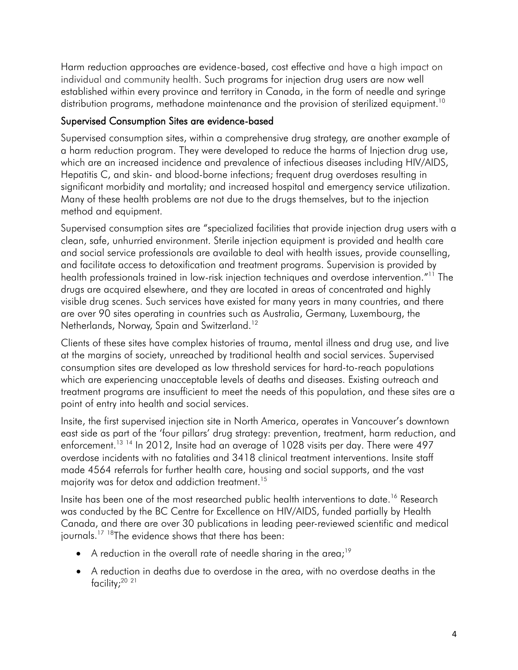Harm reduction approaches are evidence-based, cost effective and have a high impact on individual and community health. Such programs for injection drug users are now well established within every province and territory in Canada, in the form of needle and syringe distribution programs, methadone maintenance and the provision of sterilized equipment.<sup>10</sup>

### Supervised Consumption Sites are evidence-based

 Supervised consumption sites, within a comprehensive drug strategy, are another example of a harm reduction program. They were developed to reduce the harms of Injection drug use, which are an increased incidence and prevalence of infectious diseases including HIV/AIDS, Hepatitis C, and skin- and blood-borne infections; frequent drug overdoses resulting in significant morbidity and mortality; and increased hospital and emergency service utilization. Many of these health problems are not due to the drugs themselves, but to the injection method and equipment.

health professionals trained in low-risk injection techniques and overdose intervention."<sup>[11](#page-7-10)</sup> The are over 90 sites operating in countries such as Australia, Germany, Luxembourg, the Netherlands, Norway, Spain and Switzerland.<sup>12</sup> Supervised consumption sites are "specialized facilities that provide injection drug users with a clean, safe, unhurried environment. Sterile injection equipment is provided and health care and social service professionals are available to deal with health issues, provide counselling, and facilitate access to detoxification and treatment programs. Supervision is provided by drugs are acquired elsewhere, and they are located in areas of concentrated and highly visible drug scenes. Such services have existed for many years in many countries, and there

Clients of these sites have complex histories of trauma, mental illness and drug use, and live at the margins of society, unreached by traditional health and social services. Supervised consumption sites are developed as low threshold services for hard-to-reach populations which are experiencing unacceptable levels of deaths and diseases. Existing outreach and treatment programs are insufficient to meet the needs of this population, and these sites are a point of entry into health and social services.

 Insite, the first supervised injection site in North America, operates in Vancouver's downtown east side as part of the 'four pillars' drug strategy: prevention, treatment, harm reduction, and enforcement.<sup>13 14</sup> In 2012, Insite had an average of 1028 visits per day. There were 497 majority was for detox and addiction treatment.<sup>15</sup> overdose incidents with no fatalities and 3418 clinical treatment interventions. Insite staff made 4564 referrals for further health care, housing and social supports, and the vast

Insite has been one of the most researched public health interventions to date.<sup>16</sup> Research was conducted by the BC Centre for Excellence on HIV/AIDS, funded partially by Health Canada, and there are over 30 publications in leading peer-reviewed scientific and medical journals.<sup>17 [18](#page-7-12)</sup>The evidence shows that there has been:

- A reduction in the overall rate of needle sharing in the area;<sup>19</sup>
- facility[;20](#page-8-0) [21](#page-8-1)  A reduction in deaths due to overdose in the area, with no overdose deaths in the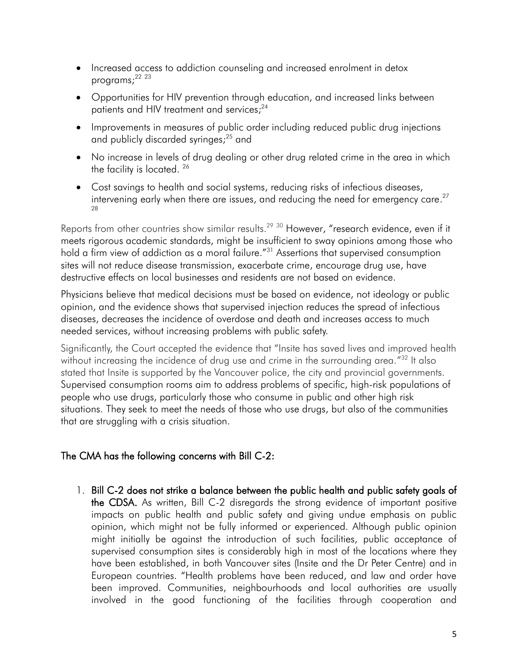- Increased access to addiction counseling and increased enrolment in detox programs; [22](#page-8-2) [23](#page-8-3)
- Opportunities for HIV prevention through education, and increased links between patients and HIV treatment and services;<sup>24</sup>
- and publicly discarded syringes;<sup>25</sup> and Improvements in measures of public order including reduced public drug injections
- No increase in levels of drug dealing or other drug related crime in the area in which the facility is located.<sup>26</sup>
- Cost savings to health and social systems, reducing risks of infectious diseases, intervening early when there are issues, and reducing the need for emergency care. $27$ [28](#page-8-8)

 meets rigorous academic standards, might be insufficient to sway opinions among those who Reports from other countries show similar results.<sup>29 [30](#page-8-10)</sup> However, "research evidence, even if it hold a firm view of addiction as a moral failure."<sup>[31](#page-8-11)</sup> Assertions that supervised consumption sites will not reduce disease transmission, exacerbate crime, encourage drug use, have destructive effects on local businesses and residents are not based on evidence.

 needed services, without increasing problems with public safety. Physicians believe that medical decisions must be based on evidence, not ideology or public opinion, and the evidence shows that supervised injection reduces the spread of infectious diseases, decreases the incidence of overdose and death and increases access to much

without increasing the incidence of drug use and crime in the surrounding area."<sup>[32](#page-8-12)</sup> It also Significantly, the Court accepted the evidence that "Insite has saved lives and improved health stated that Insite is supported by the Vancouver police, the city and provincial governments. Supervised consumption rooms aim to address problems of specific, high-risk populations of people who use drugs, particularly those who consume in public and other high risk situations. They seek to meet the needs of those who use drugs, but also of the communities that are struggling with a crisis situation.

# The CMA has the following concerns with Bill C-2:

 1. Bill C-2 does not strike a balance between the public health and public safety goals of the CDSA. As written, Bill C-2 disregards the strong evidence of important positive impacts on public health and public safety and giving undue emphasis on public opinion, which might not be fully informed or experienced. Although public opinion supervised consumption sites is considerably high in most of the locations where they have been established, in both Vancouver sites (Insite and the Dr Peter Centre) and in European countries. "Health problems have been reduced, and law and order have been improved. Communities, neighbourhoods and local authorities are usually involved in the good functioning of the facilities through cooperation and might initially be against the introduction of such facilities, public acceptance of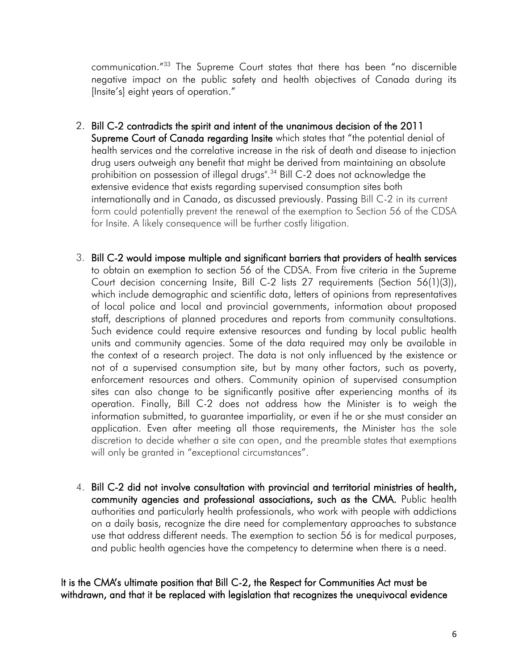communication."[33](#page-8-13) The Supreme Court states that there has been "no discernible negative impact on the public safety and health objectives of Canada during its [Insite's] eight years of operation."

- 2. Bill C-2 contradicts the spirit and intent of the unanimous decision of the 2011 Supreme Court of Canada regarding Insite which states that "the potential denial of health services and the correlative increase in the risk of death and disease to injection drug users outweigh any benefit that might be derived from maintaining an absolute prohibition on possession of illegal drugs".<sup>34</sup> Bill C-2 does not acknowledge the extensive evidence that exists regarding supervised consumption sites both internationally and in Canada, as discussed previously. Passing Bill C-2 in its current form could potentially prevent the renewal of the exemption to Section 56 of the CDSA for Insite. A likely consequence will be further costly litigation.
- 3. Bill C-2 would impose multiple and significant barriers that providers of health services to obtain an exemption to section 56 of the CDSA. From five criteria in the Supreme Court decision concerning Insite, Bill C-2 lists 27 requirements (Section 56(1)(3)), which include demographic and scientific data, letters of opinions from representatives of local police and local and provincial governments, information about proposed Such evidence could require extensive resources and funding by local public health units and community agencies. Some of the data required may only be available in not of a supervised consumption site, but by many other factors, such as poverty, sites can also change to be significantly positive after experiencing months of its operation. Finally, Bill C-2 does not address how the Minister is to weigh the information submitted, to guarantee impartiality, or even if he or she must consider an application. Even after meeting all those requirements, the Minister has the sole discretion to decide whether a site can open, and the preamble states that exemptions staff, descriptions of planned procedures and reports from community consultations. the context of a research project. The data is not only influenced by the existence or enforcement resources and others. Community opinion of supervised consumption will only be granted in "exceptional circumstances".
- 4. Bill C-2 did not involve consultation with provincial and territorial ministries of health, community agencies and professional associations, such as the CMA. Public health authorities and particularly health professionals, who work with people with addictions on a daily basis, recognize the dire need for complementary approaches to substance use that address different needs. The exemption to section 56 is for medical purposes, and public health agencies have the competency to determine when there is a need.

### It is the CMA's ultimate position that Bill C-2, the Respect for Communities Act must be withdrawn, and that it be replaced with legislation that recognizes the unequivocal evidence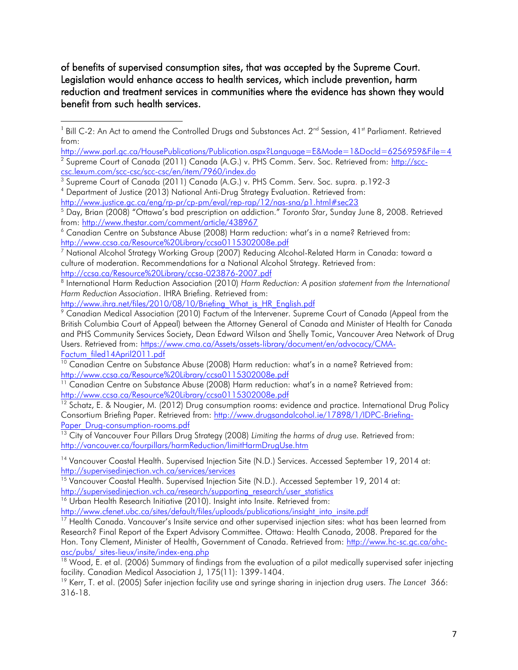of benefits of supervised consumption sites, that was accepted by the Supreme Court. Legislation would enhance access to health services, which include prevention, harm reduction and treatment services in communities where the evidence has shown they would benefit from such health services.

<span id="page-7-3"></span>

http://www.justice.gc.ca/eng/rp-pr/cp-pm/eval/rep-rap/12/nas-sna/p1.html#sec23

<span id="page-7-7"></span><sup>8</sup> International Harm Reduction Association (2010) Harm Reduction: A position statement from the International *Harm Reduction Association*. IHRA Briefing. Retrieved from:

```
http://www.ihra.net/files/2010/08/10/Briefing What is HR English.pdf
```
<span id="page-7-9"></span><sup>10</sup> Canadian Centre on Substance Abuse (2008) Harm reduction: what's in a name? Retrieved from: <http://www.ccsa.ca/Resource%20Library/ccsa0115302008e.pdf>

<span id="page-7-12"></span><span id="page-7-11"></span><sup>12</sup> Schatz, E. & Nougier, M. (2012) Drug consumption rooms: evidence and practice. International Drug Policy Consortium Briefing Paper. Retrieved from: [http://www.drugsandalcohol.ie/17898/1/IDPC-Briefing-](http://www.drugsandalcohol.ie/17898/1/IDPC-Briefing-Paper_Drug-consumption-rooms.pdf)Paper\_Drug-consumption-rooms.pdf

http://supervisedinjection.vch.ca/services/services <sup>14</sup> Vancouver Coastal Health. Supervised Injection Site (N.D.) Services. Accessed September 19, 2014 at:

http://supervisediniection.vch.ca/research/supporting research/user statistics <u>http://supervisedinjection.vch.ca/services/services</u><br><sup>15</sup> Vancouver Coastal Health. Supervised Injection Site (N.D.). Accessed September 19, 2014 at:<br><u>http://supervisedinjection.vch.ca/research/supporting\_research/user\_st</u>

<sup>16</sup> Urban Health Research Initiative (2010). Insight into Insite. Retrieved from:

http://www.cfenet.ubc.ca/sites/default/files/uploads/publications/insight\_into\_insite.pdf

asc/pubs/ sites-lieux/insite/index-eng.php <sup>17</sup> Health Canada. Vancouver's Insite service and other supervised injection sites: what has been learned from Research? Final Report of the Expert Advisory Committee. Ottawa: Health Canada, 2008. Prepared for the Hon. Tony Clement, Minister of Health, Government of Canada. Retrieved from: [http://www.hc-sc.gc.ca/ahc-](http://www.hc-sc.gc.ca/ahc-asc/pubs/_sites-lieux/insite/index-eng.php)

facility. Canadian Medical Association J, 175(11): 1399-1404.  $18$  Wood, E. et al. (2006) Summary of findings from the evaluation of a pilot medically supervised safer injecting

facility. Canadian Medical Association J, 175(11): 1399-1404.<br><sup>19</sup> Kerr, T. et al. (2005) Safer injection facility use and syringe sharing in injection drug users. *The Lancet 366*: 316-18.

<span id="page-7-0"></span> $\overline{a}$ <sup>1</sup> Bill C-2: An Act to amend the Controlled Drugs and Substances Act.  $2^{nd}$  Session, 41<sup>st</sup> Parliament. Retrieved from:

<span id="page-7-1"></span> <http://www.parl.gc.ca/HousePublications/Publication.aspx?Language=E&Mode=1&DocId=6256959&File=4> <sup>2</sup> Supreme Court of Canada (2011) Canada (A.G.) v. PHS Comm. Serv. Soc. Retrieved from: <u>http://scc-</u> [csc.lexum.com/scc-csc/scc-csc/en/item/7960/index.do](http://scc-csc.lexum.com/scc-csc/scc-csc/en/item/7960/index.do) 

<span id="page-7-2"></span><sup>&</sup>lt;sup>3</sup> Supreme Court of Canada (2011) Canada (A.G.) v. PHS Comm. Serv. Soc. supra. p.192-3<br><sup>4</sup> Department of Justice (2013) National Anti-Drug Strategy Evaluation. Retrieved from:

<span id="page-7-4"></span>from: http://www.thestar.com/comment/article/438967 <sup>5</sup> Day, Brian (2008) "Ottawa's bad prescription on addiction." *Toronto Star*, Sunday June 8, 2008. Retrieved

<span id="page-7-5"></span> $6$  Canadian Centre on Substance Abuse (2008) Harm reduction: what's in a name? Retrieved from: <http://www.ccsa.ca/Resource%20Library/ccsa0115302008e.pdf>

<span id="page-7-6"></span>http://ccsa.ca/Resource%20Library/ccsa-023876-2007.pdf 7 National Alcohol Strategy Working Group (2007) Reducing Alcohol-Related Harm in Canada: toward a culture of moderation. Recommendations for a National Alcohol Strategy. Retrieved from:

 and PHS Community Services Society, Dean Edward Wilson and Shelly Tomic, Vancouver Area Network of Drug  $\degree$  Canadian Medical Association (2010) Factum of the Intervener. Supreme Court of Canada (Appeal from the British Columbia Court of Appeal) between the Attorney General of Canada and Minister of Health for Canada Users. Retrieved from: [https://www.cma.ca/Assets/assets-library/document/en/advocacy/CMA-](https://www.cma.ca/Assets/assets-library/document/en/advocacy/CMA-Factum_filed14April2011.pdf)[Factum\\_filed14April2011.pdf](https://www.cma.ca/Assets/assets-library/document/en/advocacy/CMA-Factum_filed14April2011.pdf) 

<span id="page-7-10"></span> $11$  Canadian Centre on Substance Abuse (2008) Harm reduction: what's in a name? Retrieved from: <http://www.ccsa.ca/Resource%20Library/ccsa0115302008e.pdf>

 13 City of Vancouver Four Pillars Drug Strategy (2008) *Limiting the harms of drug use.* Retrieved from: <http://vancouver.ca/fourpillars/harmReduction/limitHarmDrugUse.htm>